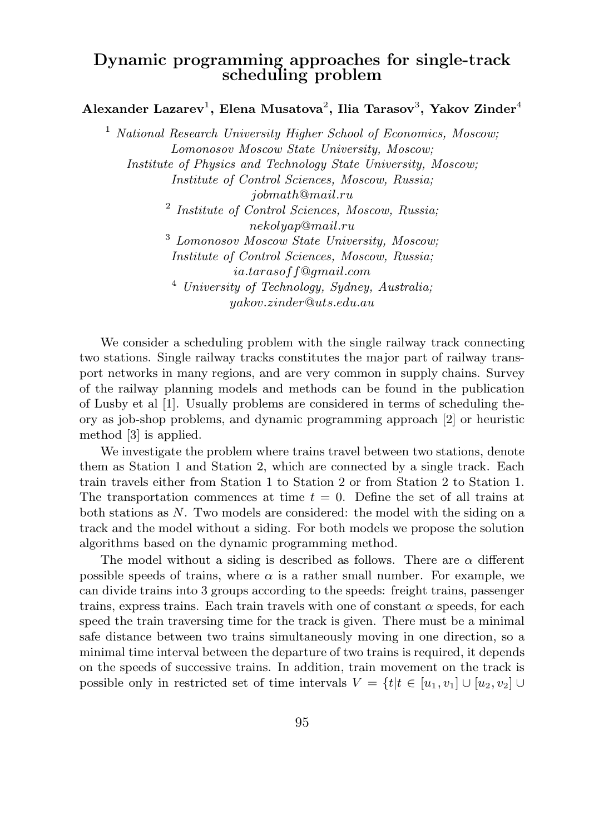## Dynamic programming approaches for single-track scheduling problem

Alexander Lazarev $^1,$  Elena Musatova $^2,$  Ilia Tarasov $^3,$  Yakov Zinder $^4$ 

 $1$  National Research University Higher School of Economics, Moscow; Lomonosov Moscow State University, Moscow; Institute of Physics and Technology State University, Moscow; Institute of Control Sciences, Moscow, Russia; jobmath@mail.ru <sup>2</sup> Institute of Control Sciences, Moscow, Russia; nekolyap@mail.ru <sup>3</sup> Lomonosov Moscow State University, Moscow; Institute of Control Sciences, Moscow, Russia; ia.tarasoff@gmail.com <sup>4</sup> University of Technology, Sydney, Australia; yakov.zinder@uts.edu.au

We consider a scheduling problem with the single railway track connecting two stations. Single railway tracks constitutes the major part of railway transport networks in many regions, and are very common in supply chains. Survey of the railway planning models and methods can be found in the publication of Lusby et al [1]. Usually problems are considered in terms of scheduling theory as job-shop problems, and dynamic programming approach [2] or heuristic method [3] is applied.

We investigate the problem where trains travel between two stations, denote them as Station 1 and Station 2, which are connected by a single track. Each train travels either from Station 1 to Station 2 or from Station 2 to Station 1. The transportation commences at time  $t = 0$ . Define the set of all trains at both stations as  $N$ . Two models are considered: the model with the siding on a track and the model without a siding. For both models we propose the solution algorithms based on the dynamic programming method.

The model without a siding is described as follows. There are  $\alpha$  different possible speeds of trains, where  $\alpha$  is a rather small number. For example, we can divide trains into 3 groups according to the speeds: freight trains, passenger trains, express trains. Each train travels with one of constant  $\alpha$  speeds, for each speed the train traversing time for the track is given. There must be a minimal safe distance between two trains simultaneously moving in one direction, so a minimal time interval between the departure of two trains is required, it depends on the speeds of successive trains. In addition, train movement on the track is possible only in restricted set of time intervals  $V = \{t | t \in [u_1, v_1] \cup [u_2, v_2] \cup$